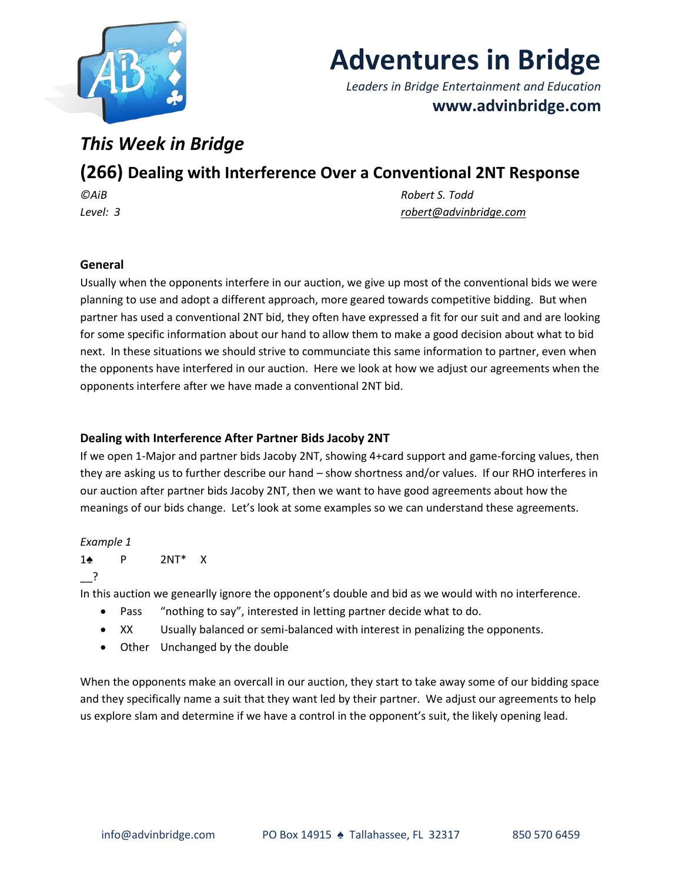

# **Adventures in Bridge**

*Leaders in Bridge Entertainment and Education* **www.advinbridge.com**

# *This Week in Bridge*

# **(266) Dealing with Interference Over a Conventional 2NT Response**

*©AiB Robert S. Todd Level: 3 [robert@advinbridge.com](mailto:robert@advinbridge.com)*

# **General**

Usually when the opponents interfere in our auction, we give up most of the conventional bids we were planning to use and adopt a different approach, more geared towards competitive bidding. But when partner has used a conventional 2NT bid, they often have expressed a fit for our suit and and are looking for some specific information about our hand to allow them to make a good decision about what to bid next. In these situations we should strive to communciate this same information to partner, even when the opponents have interfered in our auction. Here we look at how we adjust our agreements when the opponents interfere after we have made a conventional 2NT bid.

# **Dealing with Interference After Partner Bids Jacoby 2NT**

If we open 1-Major and partner bids Jacoby 2NT, showing 4+card support and game-forcing values, then they are asking us to further describe our hand – show shortness and/or values. If our RHO interferes in our auction after partner bids Jacoby 2NT, then we want to have good agreements about how the meanings of our bids change. Let's look at some examples so we can understand these agreements.

## *Example 1*

1♠ P 2NT\* X

\_\_?

In this auction we genearlly ignore the opponent's double and bid as we would with no interference.

- Pass "nothing to say", interested in letting partner decide what to do.
- XX Usually balanced or semi-balanced with interest in penalizing the opponents.
- Other Unchanged by the double

When the opponents make an overcall in our auction, they start to take away some of our bidding space and they specifically name a suit that they want led by their partner. We adjust our agreements to help us explore slam and determine if we have a control in the opponent's suit, the likely opening lead.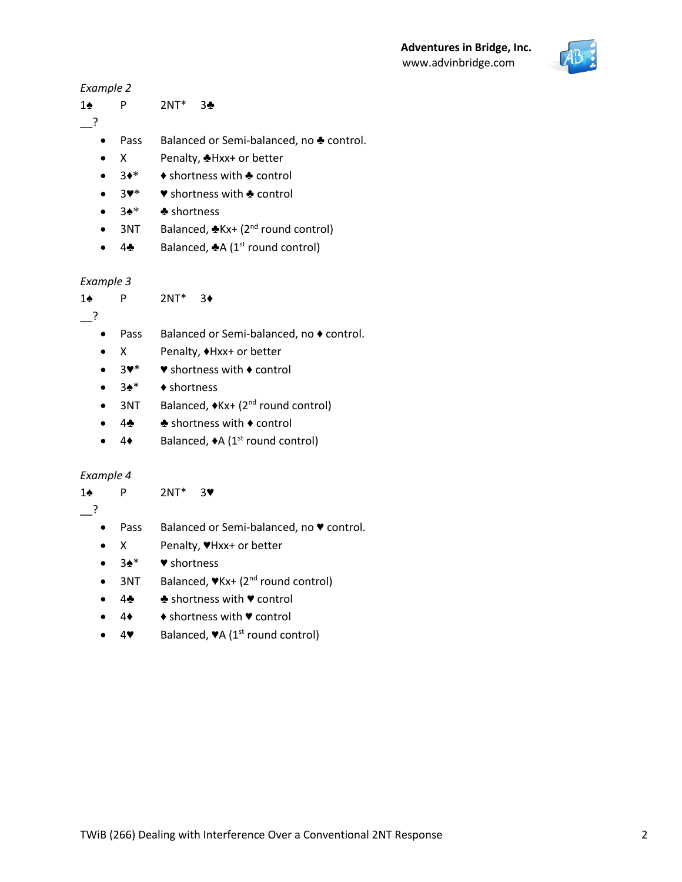# **Adventures in Bridge, Inc.** www.advinbridge.com



## *Example 2*

1♠ P 2NT\* 3♣

- $\overline{\phantom{a}}$  ?
	- Pass Balanced or Semi-balanced, no ♣ control.
	- X Penalty, ♣Hxx+ or better
	- 3♦\* ♦ shortness with ♣ control
	- 3♥\* ♥ shortness with ♣ control
	- 3♠\* ♣ shortness
	- 3NT Balanced,  $Rx + (2^{nd}$  round control)
	- 4♣ Balanced, ♣A (1<sup>st</sup> round control)

# *Example 3*

1♠ P 2NT\* 3♦

 $\overline{\phantom{a}}$  ?

- 
- Pass Balanced or Semi-balanced, no ♦ control.
- X Penalty, ♦Hxx+ or better
- 3♥\* ♥ shortness with ♦ control
- 3♠\* ♦ shortness
- 3NT Balanced,  $\blacklozenge$  Kx+ (2<sup>nd</sup> round control)
- 4♣ ♣ shortness with ♦ control
- $4 \bullet$  Balanced,  $\bullet$  A (1<sup>st</sup> round control)

# *Example 4*

- 1♠ P 2NT\* 3♥
- $\cdot$  ?
- 
- Pass Balanced or Semi-balanced, no ♥ control.
- X Penalty, ♥Hxx+ or better
- 3♠\* ♥ shortness
- 3NT Balanced,  $\nabla$ Kx+ (2<sup>nd</sup> round control)
- 4♣ ♣ shortness with ♥ control
- 4♦ ♦ shortness with ♥ control
- 4♥ Balanced, ♥A (1st round control)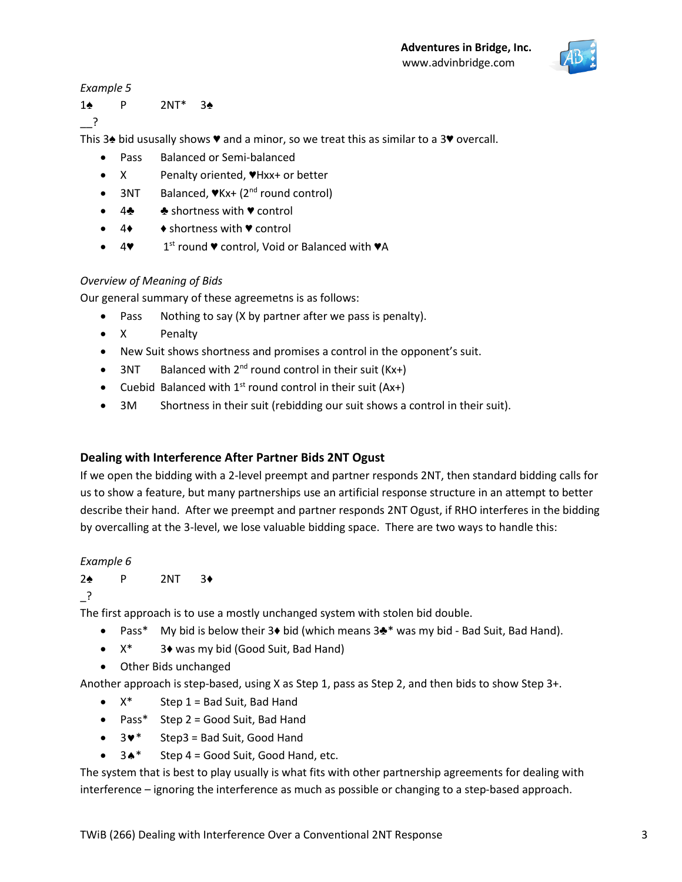

*Example 5*

1♠ P 2NT\* 3♠  $\cdot$  ?

This 3♠ bid ususally shows ♥ and a minor, so we treat this as similar to a 3♥ overcall.

- Pass Balanced or Semi-balanced
- X Penalty oriented, ♥Hxx+ or better
- 3NT Balanced,  $V_{\text{Kx+}}$  (2<sup>nd</sup> round control)
- 4♣ ♣ shortness with ♥ control
- 4♦ ♦ shortness with ♥ control
- $4$  $1<sup>st</sup>$  round  $\blacktriangledown$  control, Void or Balanced with  $\blacktriangledown A$

## *Overview of Meaning of Bids*

Our general summary of these agreemetns is as follows:

- Pass Nothing to say (X by partner after we pass is penalty).
- X Penalty
- New Suit shows shortness and promises a control in the opponent's suit.
- 3NT Balanced with  $2^{nd}$  round control in their suit (Kx+)
- Cuebid Balanced with  $1^{st}$  round control in their suit (Ax+)
- 3M Shortness in their suit (rebidding our suit shows a control in their suit).

# **Dealing with Interference After Partner Bids 2NT Ogust**

If we open the bidding with a 2-level preempt and partner responds 2NT, then standard bidding calls for us to show a feature, but many partnerships use an artificial response structure in an attempt to better describe their hand. After we preempt and partner responds 2NT Ogust, if RHO interferes in the bidding by overcalling at the 3-level, we lose valuable bidding space. There are two ways to handle this:

## *Example 6*

## 2♠ P 2NT 3♦

\_?

The first approach is to use a mostly unchanged system with stolen bid double.

- Pass\* My bid is below their 3♦ bid (which means 3♣\* was my bid Bad Suit, Bad Hand).
- X\* 3♦ was my bid (Good Suit, Bad Hand)
- Other Bids unchanged

Another approach is step-based, using X as Step 1, pass as Step 2, and then bids to show Step 3+.

- $X^*$  Step 1 = Bad Suit, Bad Hand
- Pass\* Step 2 = Good Suit, Bad Hand
- $\bullet$  3 $\bullet$  Step3 = Bad Suit, Good Hand
- $3 \cdot \bullet^*$  Step 4 = Good Suit, Good Hand, etc.

The system that is best to play usually is what fits with other partnership agreements for dealing with interference – ignoring the interference as much as possible or changing to a step-based approach.